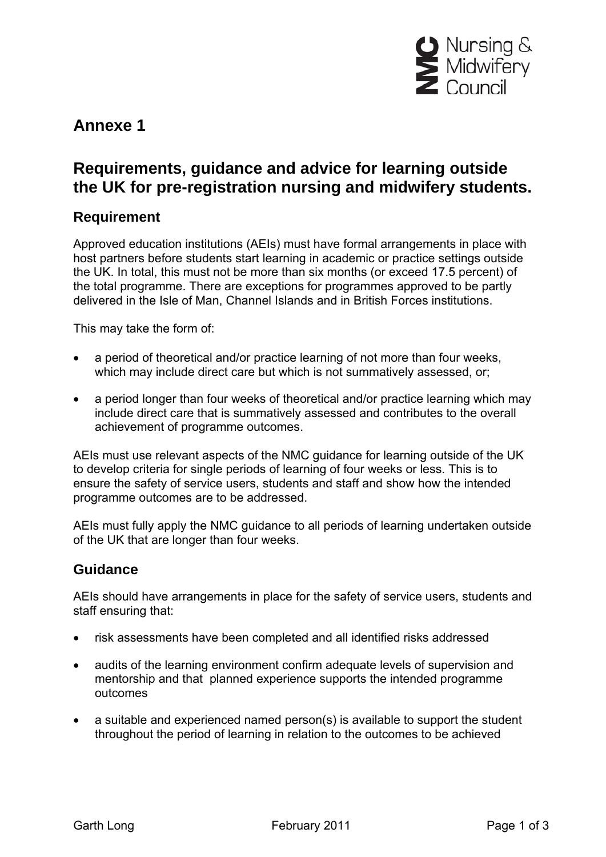

# **Annexe 1**

# **Requirements, guidance and advice for learning outside the UK for pre-registration nursing and midwifery students.**

### **Requirement**

Approved education institutions (AEIs) must have formal arrangements in place with host partners before students start learning in academic or practice settings outside the UK. In total, this must not be more than six months (or exceed 17.5 percent) of the total programme. There are exceptions for programmes approved to be partly delivered in the Isle of Man, Channel Islands and in British Forces institutions.

This may take the form of:

- a period of theoretical and/or practice learning of not more than four weeks, which may include direct care but which is not summatively assessed, or;
- a period longer than four weeks of theoretical and/or practice learning which may include direct care that is summatively assessed and contributes to the overall achievement of programme outcomes.

AEIs must use relevant aspects of the NMC guidance for learning outside of the UK to develop criteria for single periods of learning of four weeks or less. This is to ensure the safety of service users, students and staff and show how the intended programme outcomes are to be addressed.

AEIs must fully apply the NMC guidance to all periods of learning undertaken outside of the UK that are longer than four weeks.

## **Guidance**

AEIs should have arrangements in place for the safety of service users, students and staff ensuring that:

- risk assessments have been completed and all identified risks addressed
- audits of the learning environment confirm adequate levels of supervision and mentorship and that planned experience supports the intended programme outcomes
- a suitable and experienced named person(s) is available to support the student throughout the period of learning in relation to the outcomes to be achieved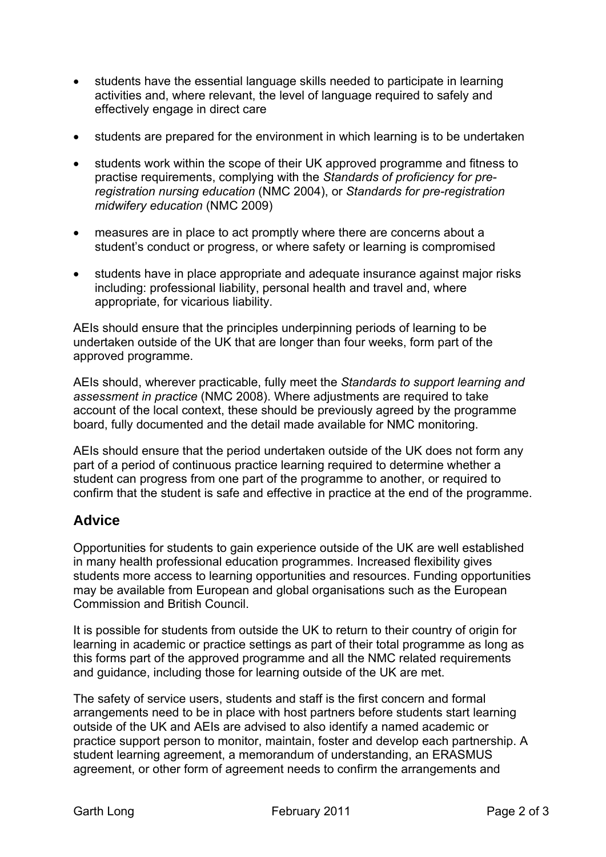- students have the essential language skills needed to participate in learning activities and, where relevant, the level of language required to safely and effectively engage in direct care
- students are prepared for the environment in which learning is to be undertaken
- students work within the scope of their UK approved programme and fitness to practise requirements, complying with the *Standards of proficiency for preregistration nursing education* (NMC 2004), or *Standards for pre-registration midwifery education* (NMC 2009)
- measures are in place to act promptly where there are concerns about a student's conduct or progress, or where safety or learning is compromised
- students have in place appropriate and adequate insurance against major risks including: professional liability, personal health and travel and, where appropriate, for vicarious liability.

AEIs should ensure that the principles underpinning periods of learning to be undertaken outside of the UK that are longer than four weeks, form part of the approved programme.

AEIs should, wherever practicable, fully meet the *Standards to support learning and assessment in practice* (NMC 2008). Where adjustments are required to take account of the local context, these should be previously agreed by the programme board, fully documented and the detail made available for NMC monitoring.

AEIs should ensure that the period undertaken outside of the UK does not form any part of a period of continuous practice learning required to determine whether a student can progress from one part of the programme to another, or required to confirm that the student is safe and effective in practice at the end of the programme.

### **Advice**

Opportunities for students to gain experience outside of the UK are well established in many health professional education programmes. Increased flexibility gives students more access to learning opportunities and resources. Funding opportunities may be available from European and global organisations such as the European Commission and British Council.

It is possible for students from outside the UK to return to their country of origin for learning in academic or practice settings as part of their total programme as long as this forms part of the approved programme and all the NMC related requirements and guidance, including those for learning outside of the UK are met.

The safety of service users, students and staff is the first concern and formal arrangements need to be in place with host partners before students start learning outside of the UK and AEIs are advised to also identify a named academic or practice support person to monitor, maintain, foster and develop each partnership. A student learning agreement, a memorandum of understanding, an ERASMUS agreement, or other form of agreement needs to confirm the arrangements and